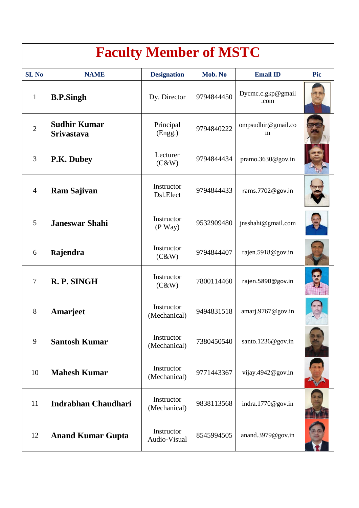| <b>Faculty Member of MSTC</b> |                                          |                            |            |                           |     |  |  |  |
|-------------------------------|------------------------------------------|----------------------------|------------|---------------------------|-----|--|--|--|
| <b>SL No</b>                  | <b>NAME</b>                              | <b>Designation</b>         | Mob. No    | <b>Email ID</b>           | Pic |  |  |  |
| $\mathbf{1}$                  | <b>B.P.Singh</b>                         | Dy. Director               | 9794844450 | Dycmc.c.gkp@gmail<br>.com |     |  |  |  |
| $\overline{2}$                | <b>Sudhir Kumar</b><br><b>Srivastava</b> | Principal<br>(Engg.)       | 9794840222 | ompsudhir@gmail.co<br>m   |     |  |  |  |
| 3                             | P.K. Dubey                               | Lecturer<br>(C&W)          | 9794844434 | pramo.3630@gov.in         |     |  |  |  |
| $\overline{4}$                | <b>Ram Sajivan</b>                       | Instructor<br>Dsl.Elect    | 9794844433 | rams.7702@gov.in          |     |  |  |  |
| 5                             | <b>Janeswar Shahi</b>                    | Instructor<br>$(P$ Way $)$ | 9532909480 | jnsshahi@gmail.com        |     |  |  |  |
| 6                             | Rajendra                                 | Instructor<br>(C&W)        | 9794844407 | rajen.5918@gov.in         |     |  |  |  |
| $\overline{7}$                | R. P. SINGH                              | Instructor<br>(C&W)        | 7800114460 | rajen.5890@gov.in         |     |  |  |  |
| 8                             | Amarjeet                                 | Instructor<br>(Mechanical) | 9494831518 | amari.9767@gov.in         |     |  |  |  |
| 9                             | <b>Santosh Kumar</b>                     | Instructor<br>(Mechanical) | 7380450540 | santo.1236@gov.in         |     |  |  |  |
| 10                            | <b>Mahesh Kumar</b>                      | Instructor<br>(Mechanical) | 9771443367 | vijay.4942@gov.in         |     |  |  |  |
| 11                            | <b>Indrabhan Chaudhari</b>               | Instructor<br>(Mechanical) | 9838113568 | indra.1770@gov.in         |     |  |  |  |
| 12                            | <b>Anand Kumar Gupta</b>                 | Instructor<br>Audio-Visual | 8545994505 | anand.3979@gov.in         |     |  |  |  |